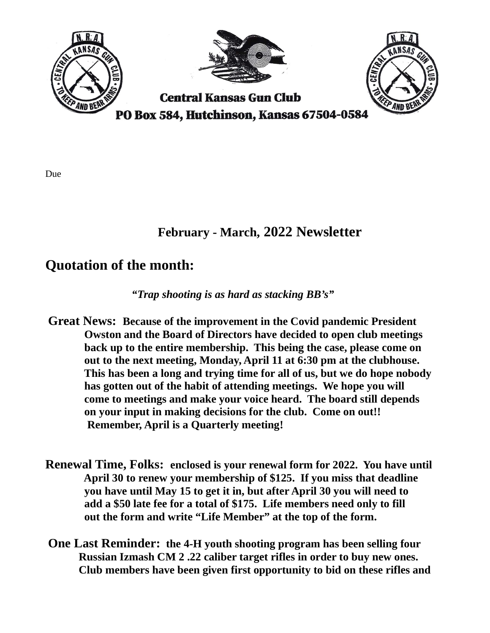

## February - March, 2022 Newsletter

## Quotation of the month:

"Trap shooting is as hard as stacking BB's"

- Great News: Because of the improvement in the Covid pandemic President Owston and the Board of Directors have decided to open club meetings back up to the entire membership. This being the case, please come on out to the next meeting, Monday, April 11 at 6:30 pm at the clubhouse. This has been a long and trying time for all of us, but we do hope nobody has gotten out of the habit of attending meetings. We hope you will come to meetings and make your voice heard. The board still depends on your input in making decisions for the club. Come on out!! Remember, April is a Quarterly meeting!
- Renewal Time, Folks: enclosed is your renewal form for 2022. You have until April 30 to renew your membership of \$125. If you miss that deadline you have until May 15 to get it in, but after April 30 you will need to add a \$50 late fee for a total of \$175. Life members need only to fill out the form and write "Life Member" at the top of the form.
- One Last Reminder: the 4-H youth shooting program has been selling four Russian Izmash CM 2 .22 caliber target rifles in order to buy new ones. Club members have been given first opportunity to bid on these rifles and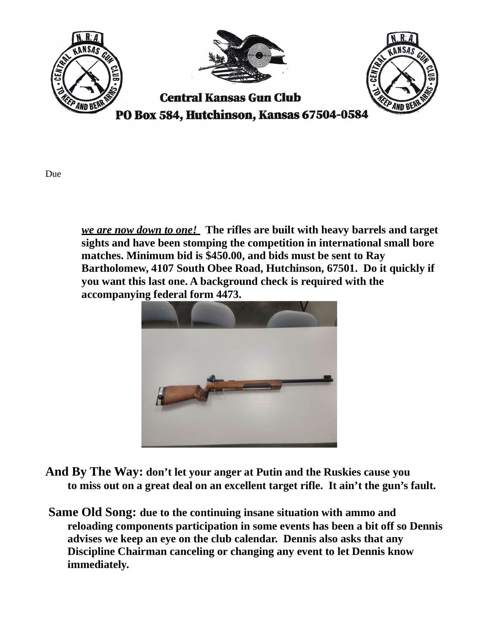

we are now down to one! The rifles are built with heavy barrels and target sights and have been stomping the competition in international small bore matches. Minimum bid is \$450.00, and bids must be sent to Ray Bartholomew, 4107 South Obee Road, Hutchinson, 67501. Do it quickly if you want this last one. A background check is required with the accompanying federal form 4473.



- And By The Way: don't let your anger at Putin and the Ruskies cause you to miss out on a great deal on an excellent target rifle. It ain't the gun's fault.
- Same Old Song: due to the continuing insane situation with ammo and reloading components participation in some events has been a bit off so Dennis advises we keep an eye on the club calendar. Dennis also asks that any Discipline Chairman canceling or changing any event to let Dennis know immediately.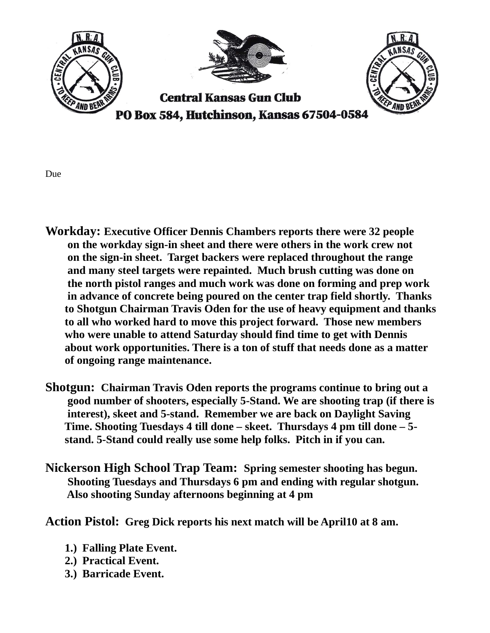

- Workday: Executive Officer Dennis Chambers reports there were 32 people on the workday sign-in sheet and there were others in the work crew not on the sign-in sheet. Target backers were replaced throughout the range and many steel targets were repainted. Much brush cutting was done on the north pistol ranges and much work was done on forming and prep work in advance of concrete being poured on the center trap field shortly. Thanks to Shotgun Chairman Travis Oden for the use of heavy equipment and thanks to all who worked hard to move this project forward. Those new members who were unable to attend Saturday should find time to get with Dennis about work opportunities. There is a ton of stuff that needs done as a matter of ongoing range maintenance.
- Shotgun: Chairman Travis Oden reports the programs continue to bring out a good number of shooters, especially 5-Stand. We are shooting trap (if there is interest), skeet and 5-stand. Remember we are back on Daylight Saving Time. Shooting Tuesdays 4 till done – skeet. Thursdays 4 pm till done – 5 stand. 5-Stand could really use some help folks. Pitch in if you can.
- Nickerson High School Trap Team: Spring semester shooting has begun. Shooting Tuesdays and Thursdays 6 pm and ending with regular shotgun. Also shooting Sunday afternoons beginning at 4 pm

Action Pistol: Greg Dick reports his next match will be April10 at 8 am.

- 1.) Falling Plate Event.
- 2.) Practical Event.
- 3.) Barricade Event.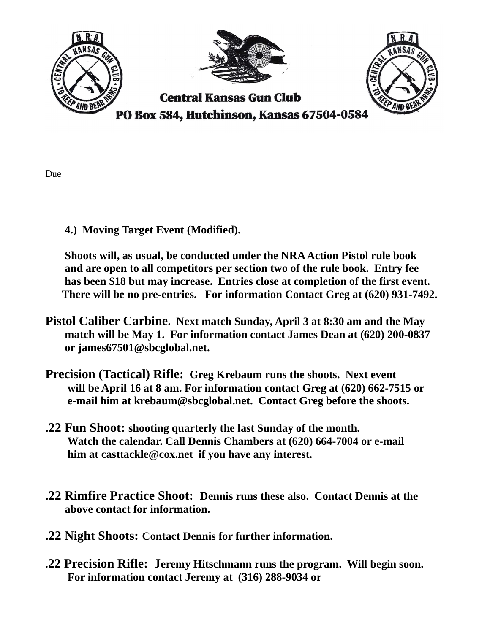

- Due
- 4.) Moving Target Event (Modified).

 Shoots will, as usual, be conducted under the NRA Action Pistol rule book and are open to all competitors per section two of the rule book. Entry fee has been \$18 but may increase. Entries close at completion of the first event. There will be no pre-entries. For information Contact Greg at (620) 931-7492.

- Pistol Caliber Carbine. Next match Sunday, April 3 at 8:30 am and the May match will be May 1. For information contact James Dean at (620) 200-0837 or james67501@sbcglobal.net.
- Precision (Tactical) Rifle: Greg Krebaum runs the shoots. Next event will be April 16 at 8 am. For information contact Greg at (620) 662-7515 or e-mail him at krebaum@sbcglobal.net. Contact Greg before the shoots.
- .22 Fun Shoot: shooting quarterly the last Sunday of the month. Watch the calendar. Call Dennis Chambers at (620) 664-7004 or e-mail him at casttackle@cox.net if you have any interest.
- .22 Rimfire Practice Shoot: Dennis runs these also. Contact Dennis at the above contact for information.
- .22 Night Shoots: Contact Dennis for further information.
- .22 Precision Rifle: Jeremy Hitschmann runs the program. Will begin soon. For information contact Jeremy at (316) 288-9034 or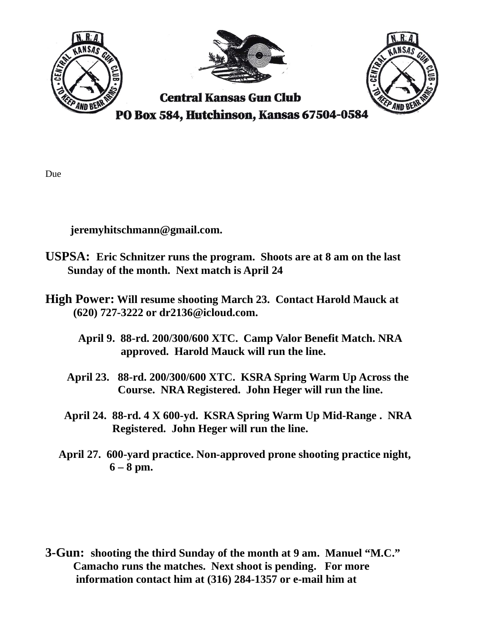

jeremyhitschmann@gmail.com.

- USPSA: Eric Schnitzer runs the program. Shoots are at 8 am on the last Sunday of the month. Next match is April 24
- High Power: Will resume shooting March 23. Contact Harold Mauck at (620) 727-3222 or dr2136@icloud.com.
	- April 9. 88-rd. 200/300/600 XTC. Camp Valor Benefit Match. NRA approved. Harold Mauck will run the line.
	- April 23. 88-rd. 200/300/600 XTC. KSRA Spring Warm Up Across the Course. NRA Registered. John Heger will run the line.
	- April 24. 88-rd. 4 X 600-yd. KSRA Spring Warm Up Mid-Range . NRA Registered. John Heger will run the line.
	- April 27. 600-yard practice. Non-approved prone shooting practice night,  $6 - 8$  pm.

3-Gun: shooting the third Sunday of the month at 9 am. Manuel "M.C." Camacho runs the matches. Next shoot is pending. For more information contact him at (316) 284-1357 or e-mail him at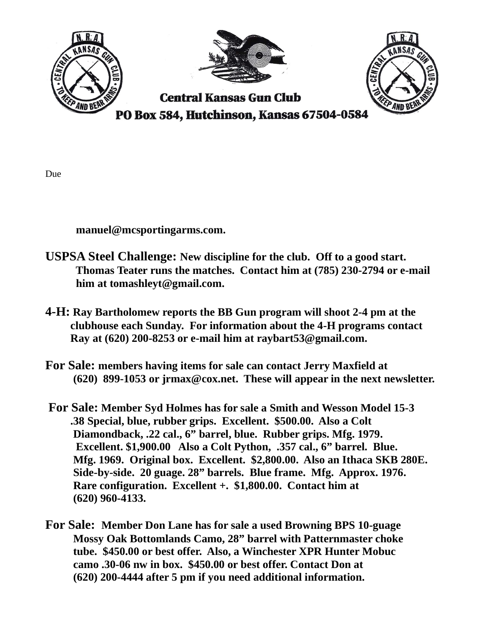

manuel@mcsportingarms.com.

- USPSA Steel Challenge: New discipline for the club. Off to a good start. Thomas Teater runs the matches. Contact him at (785) 230-2794 or e-mail him at tomashleyt@gmail.com.
- 4-H: Ray Bartholomew reports the BB Gun program will shoot 2-4 pm at the clubhouse each Sunday. For information about the 4-H programs contact Ray at (620) 200-8253 or e-mail him at raybart53@gmail.com.
- For Sale: members having items for sale can contact Jerry Maxfield at (620) 899-1053 or jrmax@cox.net. These will appear in the next newsletter.
- For Sale: Member Syd Holmes has for sale a Smith and Wesson Model 15-3 .38 Special, blue, rubber grips. Excellent. \$500.00. Also a Colt Diamondback, .22 cal., 6" barrel, blue. Rubber grips. Mfg. 1979. Excellent. \$1,900.00 Also a Colt Python, .357 cal., 6" barrel. Blue. Mfg. 1969. Original box. Excellent. \$2,800.00. Also an Ithaca SKB 280E. Side-by-side. 20 guage. 28" barrels. Blue frame. Mfg. Approx. 1976. Rare configuration. Excellent +. \$1,800.00. Contact him at (620) 960-4133.
- For Sale: Member Don Lane has for sale a used Browning BPS 10-guage Mossy Oak Bottomlands Camo, 28" barrel with Patternmaster choke tube. \$450.00 or best offer. Also, a Winchester XPR Hunter Mobuc camo .30-06 nw in box. \$450.00 or best offer. Contact Don at (620) 200-4444 after 5 pm if you need additional information.